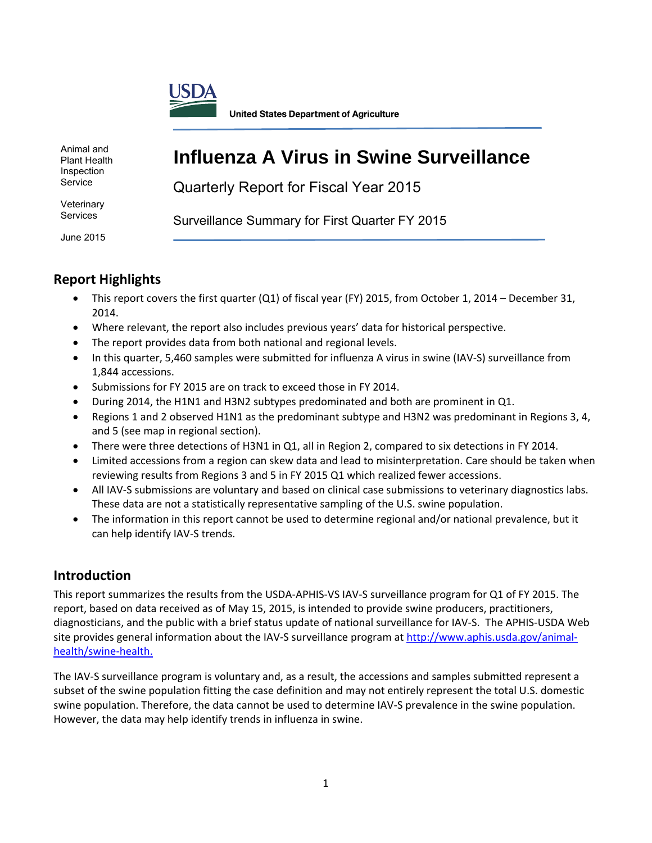

**United States Department of Agriculture** 

Animal and Plant Health Inspection Service

# **Influenza A Virus in Swine Surveillance**

Quarterly Report for Fiscal Year 2015

**Veterinary** Services

Surveillance Summary for First Quarter FY 2015

June 2015

# **Report Highlights**

- This report covers the first quarter (Q1) of fiscal year (FY) 2015, from October 1, 2014 December 31, 2014.
- Where relevant, the report also includes previous years' data for historical perspective.
- The report provides data from both national and regional levels.
- In this quarter, 5,460 samples were submitted for influenza A virus in swine (IAV‐S) surveillance from 1,844 accessions.
- Submissions for FY 2015 are on track to exceed those in FY 2014.
- During 2014, the H1N1 and H3N2 subtypes predominated and both are prominent in Q1.
- Regions 1 and 2 observed H1N1 as the predominant subtype and H3N2 was predominant in Regions 3, 4, and 5 (see map in regional section).
- There were three detections of H3N1 in Q1, all in Region 2, compared to six detections in FY 2014.
- Limited accessions from a region can skew data and lead to misinterpretation. Care should be taken when reviewing results from Regions 3 and 5 in FY 2015 Q1 which realized fewer accessions.
- All IAV-S submissions are voluntary and based on clinical case submissions to veterinary diagnostics labs. These data are not a statistically representative sampling of the U.S. swine population.
- The information in this report cannot be used to determine regional and/or national prevalence, but it can help identify IAV‐S trends.

# **Introduction**

This report summarizes the results from the USDA‐APHIS‐VS IAV‐S surveillance program for Q1 of FY 2015. The report, based on data received as of May 15, 2015, is intended to provide swine producers, practitioners, diagnosticians, and the public with a brief status update of national surveillance for IAV‐S. The APHIS‐USDA Web site provides general information about the IAV-S surveillance program at http://www.aphis.usda.gov/animalhealth/swine‐health.

The IAV‐S surveillance program is voluntary and, as a result, the accessions and samples submitted represent a subset of the swine population fitting the case definition and may not entirely represent the total U.S. domestic swine population. Therefore, the data cannot be used to determine IAV‐S prevalence in the swine population. However, the data may help identify trends in influenza in swine.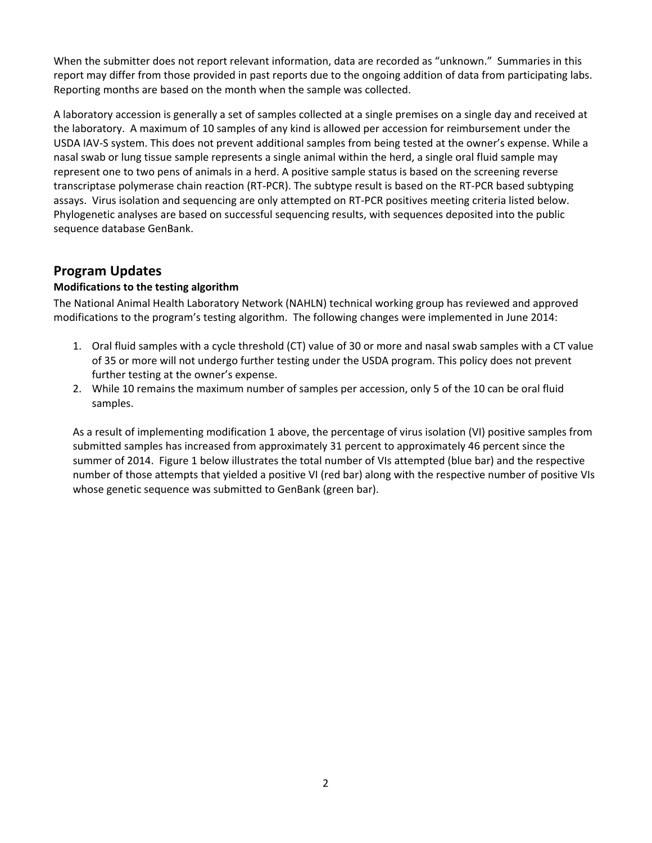When the submitter does not report relevant information, data are recorded as "unknown." Summaries in this report may differ from those provided in past reports due to the ongoing addition of data from participating labs. Reporting months are based on the month when the sample was collected.

A laboratory accession is generally a set of samples collected at a single premises on a single day and received at the laboratory. A maximum of 10 samples of any kind is allowed per accession for reimbursement under the USDA IAV‐S system. This does not prevent additional samples from being tested at the owner's expense. While a nasal swab or lung tissue sample represents a single animal within the herd, a single oral fluid sample may represent one to two pens of animals in a herd. A positive sample status is based on the screening reverse transcriptase polymerase chain reaction (RT‐PCR). The subtype result is based on the RT‐PCR based subtyping assays. Virus isolation and sequencing are only attempted on RT‐PCR positives meeting criteria listed below. Phylogenetic analyses are based on successful sequencing results, with sequences deposited into the public sequence database GenBank.

### **Program Updates**

### **Modifications to the testing algorithm**

The National Animal Health Laboratory Network (NAHLN) technical working group has reviewed and approved modifications to the program's testing algorithm. The following changes were implemented in June 2014:

- 1. Oral fluid samples with a cycle threshold (CT) value of 30 or more and nasal swab samples with a CT value of 35 or more will not undergo further testing under the USDA program. This policy does not prevent further testing at the owner's expense.
- 2. While 10 remains the maximum number of samples per accession, only 5 of the 10 can be oral fluid samples.

As a result of implementing modification 1 above, the percentage of virus isolation (VI) positive samples from submitted samples has increased from approximately 31 percent to approximately 46 percent since the summer of 2014. Figure 1 below illustrates the total number of VIs attempted (blue bar) and the respective number of those attempts that yielded a positive VI (red bar) along with the respective number of positive VIs whose genetic sequence was submitted to GenBank (green bar).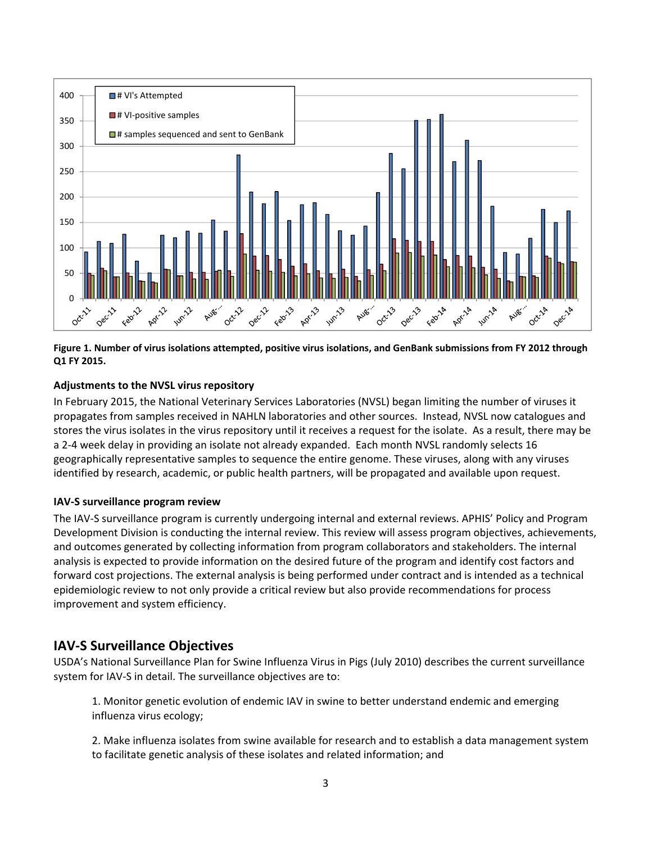

Figure 1. Number of virus isolations attempted, positive virus isolations, and GenBank submissions from FY 2012 through **Q1 FY 2015.**

#### **Adjustments to the NVSL virus repository**

In February 2015, the National Veterinary Services Laboratories (NVSL) began limiting the number of viruses it propagates from samples received in NAHLN laboratories and other sources. Instead, NVSL now catalogues and stores the virus isolates in the virus repository until it receives a request for the isolate. As a result, there may be a 2‐4 week delay in providing an isolate not already expanded. Each month NVSL randomly selects 16 geographically representative samples to sequence the entire genome. These viruses, along with any viruses identified by research, academic, or public health partners, will be propagated and available upon request.

#### **IAV‐S surveillance program review**

The IAV‐S surveillance program is currently undergoing internal and external reviews. APHIS' Policy and Program Development Division is conducting the internal review. This review will assess program objectives, achievements, and outcomes generated by collecting information from program collaborators and stakeholders. The internal analysis is expected to provide information on the desired future of the program and identify cost factors and forward cost projections. The external analysis is being performed under contract and is intended as a technical epidemiologic review to not only provide a critical review but also provide recommendations for process improvement and system efficiency.

### **IAV‐S Surveillance Objectives**

USDA's National Surveillance Plan for Swine Influenza Virus in Pigs (July 2010) describes the current surveillance system for IAV‐S in detail. The surveillance objectives are to:

1. Monitor genetic evolution of endemic IAV in swine to better understand endemic and emerging influenza virus ecology;

2. Make influenza isolates from swine available for research and to establish a data management system to facilitate genetic analysis of these isolates and related information; and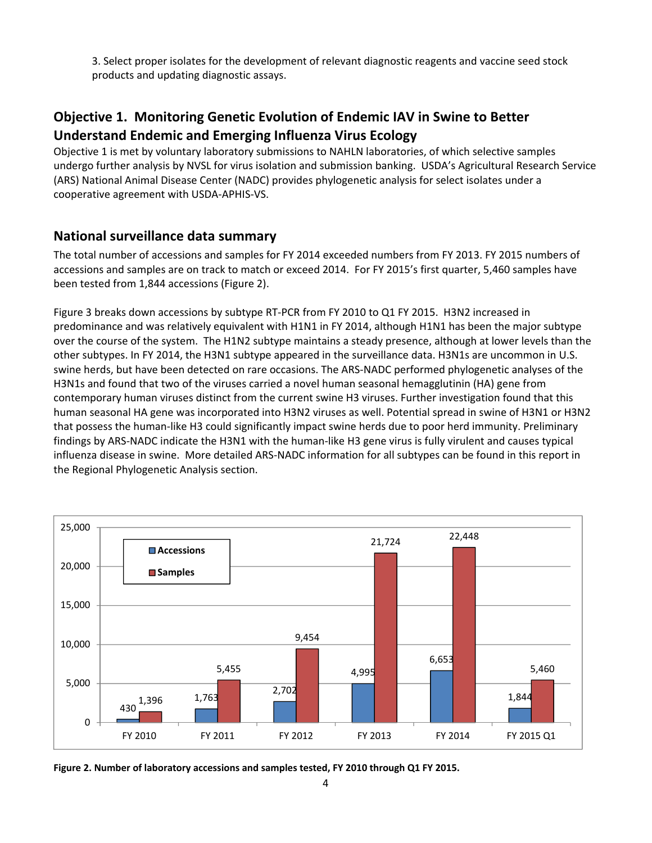3. Select proper isolates for the development of relevant diagnostic reagents and vaccine seed stock products and updating diagnostic assays.

# **Objective 1. Monitoring Genetic Evolution of Endemic IAV in Swine to Better Understand Endemic and Emerging Influenza Virus Ecology**

Objective 1 is met by voluntary laboratory submissions to NAHLN laboratories, of which selective samples undergo further analysis by NVSL for virus isolation and submission banking. USDA's Agricultural Research Service (ARS) National Animal Disease Center (NADC) provides phylogenetic analysis for select isolates under a cooperative agreement with USDA‐APHIS‐VS.

### **National surveillance data summary**

The total number of accessions and samples for FY 2014 exceeded numbers from FY 2013. FY 2015 numbers of accessions and samples are on track to match or exceed 2014. For FY 2015's first quarter, 5,460 samples have been tested from 1,844 accessions (Figure 2).

Figure 3 breaks down accessions by subtype RT-PCR from FY 2010 to Q1 FY 2015. H3N2 increased in predominance and was relatively equivalent with H1N1 in FY 2014, although H1N1 has been the major subtype over the course of the system. The H1N2 subtype maintains a steady presence, although at lower levels than the other subtypes. In FY 2014, the H3N1 subtype appeared in the surveillance data. H3N1s are uncommon in U.S. swine herds, but have been detected on rare occasions. The ARS‐NADC performed phylogenetic analyses of the H3N1s and found that two of the viruses carried a novel human seasonal hemagglutinin (HA) gene from contemporary human viruses distinct from the current swine H3 viruses. Further investigation found that this human seasonal HA gene was incorporated into H3N2 viruses as well. Potential spread in swine of H3N1 or H3N2 that possess the human‐like H3 could significantly impact swine herds due to poor herd immunity. Preliminary findings by ARS‐NADC indicate the H3N1 with the human‐like H3 gene virus is fully virulent and causes typical influenza disease in swine. More detailed ARS‐NADC information for all subtypes can be found in this report in the Regional Phylogenetic Analysis section.



**Figure 2. Number of laboratory accessions and samples tested, FY 2010 through Q1 FY 2015.**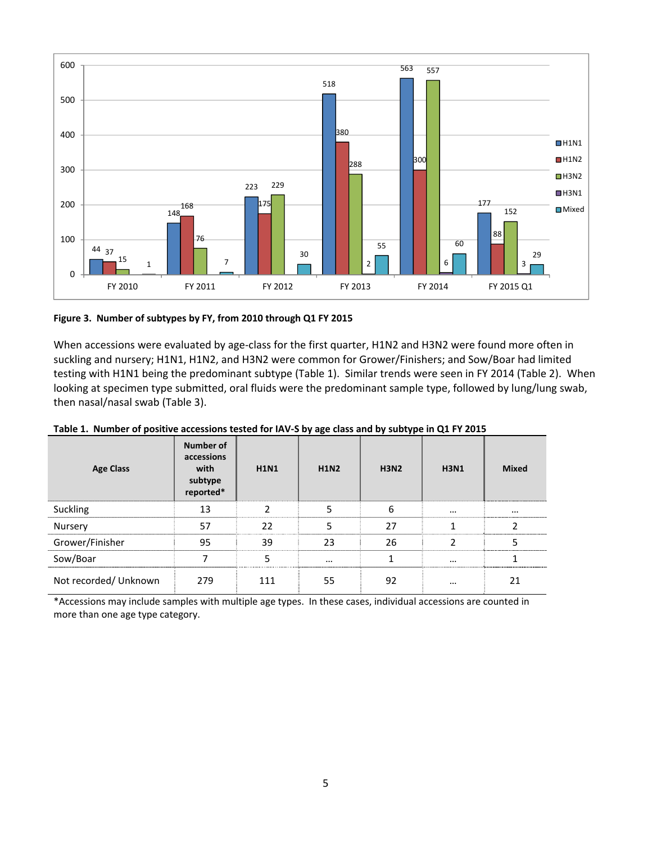

**Figure 3. Number of subtypes by FY, from 2010 through Q1 FY 2015**

When accessions were evaluated by age-class for the first quarter, H1N2 and H3N2 were found more often in suckling and nursery; H1N1, H1N2, and H3N2 were common for Grower/Finishers; and Sow/Boar had limited testing with H1N1 being the predominant subtype (Table 1). Similar trends were seen in FY 2014 (Table 2). When looking at specimen type submitted, oral fluids were the predominant sample type, followed by lung/lung swab, then nasal/nasal swab (Table 3).

| <b>Age Class</b>      | Number of<br>accessions<br>with<br>subtype<br>reported* | <b>H1N1</b>   | . .<br><b>H1N2</b> | . .<br><b>H3N2</b> | <b>H3N1</b> | <b>Mixed</b> |
|-----------------------|---------------------------------------------------------|---------------|--------------------|--------------------|-------------|--------------|
| Suckling              | 13                                                      | $\mathcal{P}$ | 5                  | 6                  | $\cdots$    | $\cdots$     |
| Nursery               | 57                                                      | 22            | 5                  | 27                 | 1           |              |
| Grower/Finisher       | 95                                                      | 39            | 23                 | 26                 | C           | 5            |
| Sow/Boar              |                                                         | 5             | $\cdots$           | 1                  | $\cdots$    |              |
| Not recorded/ Unknown | 279                                                     | 111           | 55                 | 92                 | $\cdots$    | 21           |

Table 1. Number of positive accessions tested for IAV-S by age class and by subtype in Q1 FY 2015

\*Accessions may include samples with multiple age types. In these cases, individual accessions are counted in more than one age type category.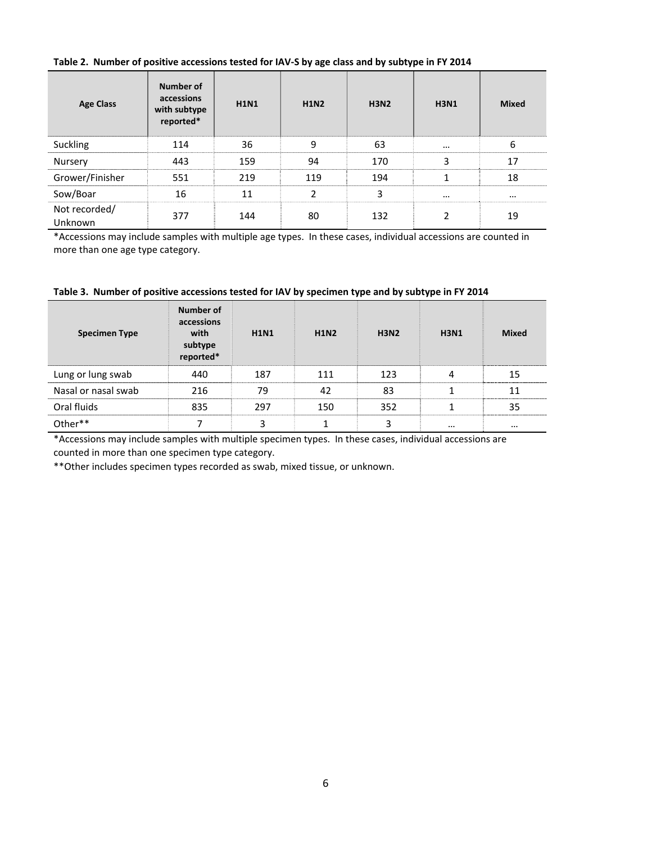#### Table 2. Number of positive accessions tested for IAV-S by age class and by subtype in FY 2014

| <b>Age Class</b>         | Number of<br>accessions<br>with subtype<br>reported* | <b>H1N1</b> | <b>H1N2</b> | <b>H3N2</b> | <b>H3N1</b> | <b>Mixed</b> |
|--------------------------|------------------------------------------------------|-------------|-------------|-------------|-------------|--------------|
| Suckling                 | 114                                                  | 36          | 9           | 63          | $\cdots$    | 6            |
| Nursery                  | 443                                                  | 159         | 94          | 170         | 3           | 17           |
| Grower/Finisher          | 551                                                  | 219         | 119         | 194         | 1           | 18           |
| Sow/Boar                 | 16                                                   | 11          | 2           | 3           | $\cdots$    | $\cdots$     |
| Not recorded/<br>Unknown | 377                                                  | 144         | 80          | 132         | 2           | 19           |

\*Accessions may include samples with multiple age types. In these cases, individual accessions are counted in more than one age type category.

|  | Table 3. Number of positive accessions tested for IAV by specimen type and by subtype in FY 2014 |
|--|--------------------------------------------------------------------------------------------------|
|--|--------------------------------------------------------------------------------------------------|

| <b>Specimen Type</b> | Number of<br>accessions<br>with<br>subtype<br>reported* | <b>H1N1</b> | <b>H1N2</b> | <b>H3N2</b> | <b>H3N1</b> | <b>Mixed</b> |
|----------------------|---------------------------------------------------------|-------------|-------------|-------------|-------------|--------------|
| Lung or lung swab    | 440                                                     | 187         | 111         | 123         | 4           | 15           |
| Nasal or nasal swab  | 216                                                     | 79          | 42          | 83          |             | 11           |
| Oral fluids          | 835                                                     | 297         | 150         | 352         |             | 35           |
| Other**              |                                                         | 3           |             | 3           | $\cdots$    | $\cdots$     |

\*Accessions may include samples with multiple specimen types. In these cases, individual accessions are counted in more than one specimen type category.

\*\*Other includes specimen types recorded as swab, mixed tissue, or unknown.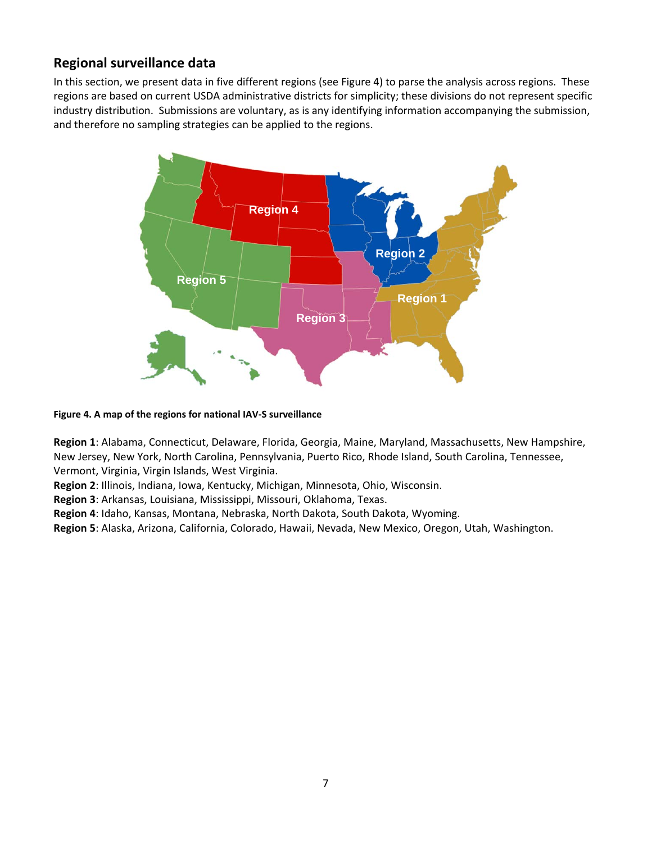# **Regional surveillance data**

In this section, we present data in five different regions (see Figure 4) to parse the analysis across regions. These regions are based on current USDA administrative districts for simplicity; these divisions do not represent specific industry distribution. Submissions are voluntary, as is any identifying information accompanying the submission, and therefore no sampling strategies can be applied to the regions.



**Figure 4. A map of the regions for national IAV‐S surveillance**

**Region 1**: Alabama, Connecticut, Delaware, Florida, Georgia, Maine, Maryland, Massachusetts, New Hampshire, New Jersey, New York, North Carolina, Pennsylvania, Puerto Rico, Rhode Island, South Carolina, Tennessee, Vermont, Virginia, Virgin Islands, West Virginia.

**Region 2**: Illinois, Indiana, Iowa, Kentucky, Michigan, Minnesota, Ohio, Wisconsin.

**Region 3**: Arkansas, Louisiana, Mississippi, Missouri, Oklahoma, Texas.

**Region 4**: Idaho, Kansas, Montana, Nebraska, North Dakota, South Dakota, Wyoming.

**Region 5**: Alaska, Arizona, California, Colorado, Hawaii, Nevada, New Mexico, Oregon, Utah, Washington.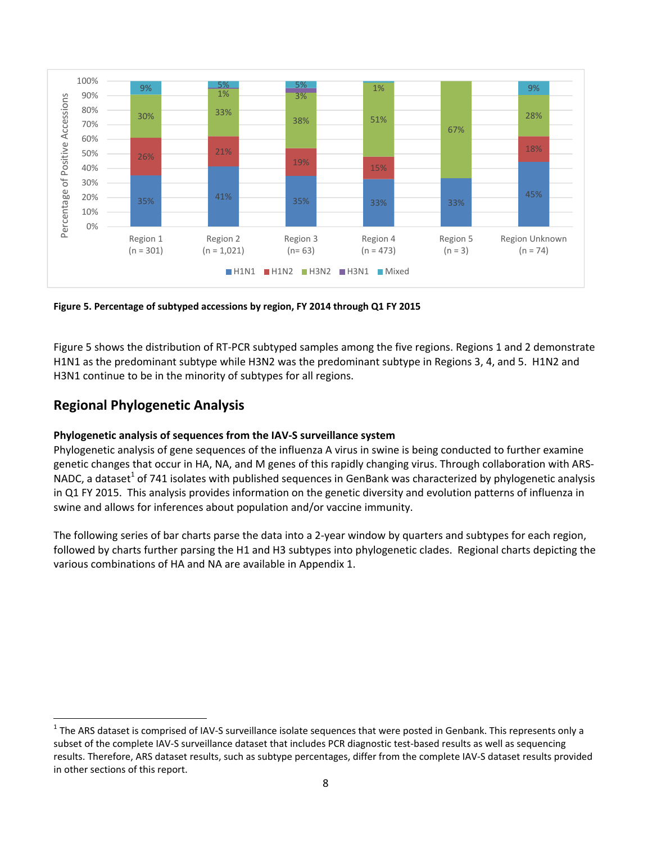

**Figure 5. Percentage of subtyped accessions by region, FY 2014 through Q1 FY 2015**

Figure 5 shows the distribution of RT‐PCR subtyped samples among the five regions. Regions 1 and 2 demonstrate H1N1 as the predominant subtype while H3N2 was the predominant subtype in Regions 3, 4, and 5. H1N2 and H3N1 continue to be in the minority of subtypes for all regions.

### **Regional Phylogenetic Analysis**

### **Phylogenetic analysis of sequences from the IAV‐S surveillance system**

Phylogenetic analysis of gene sequences of the influenza A virus in swine is being conducted to further examine genetic changes that occur in HA, NA, and M genes of this rapidly changing virus. Through collaboration with ARS‐ NADC, a dataset<sup>1</sup> of 741 isolates with published sequences in GenBank was characterized by phylogenetic analysis in Q1 FY 2015. This analysis provides information on the genetic diversity and evolution patterns of influenza in swine and allows for inferences about population and/or vaccine immunity.

The following series of bar charts parse the data into a 2‐year window by quarters and subtypes for each region, followed by charts further parsing the H1 and H3 subtypes into phylogenetic clades. Regional charts depicting the various combinations of HA and NA are available in Appendix 1.

 $1$  The ARS dataset is comprised of IAV-S surveillance isolate sequences that were posted in Genbank. This represents only a subset of the complete IAV-S surveillance dataset that includes PCR diagnostic test-based results as well as sequencing results. Therefore, ARS dataset results, such as subtype percentages, differ from the complete IAV‐S dataset results provided in other sections of this report.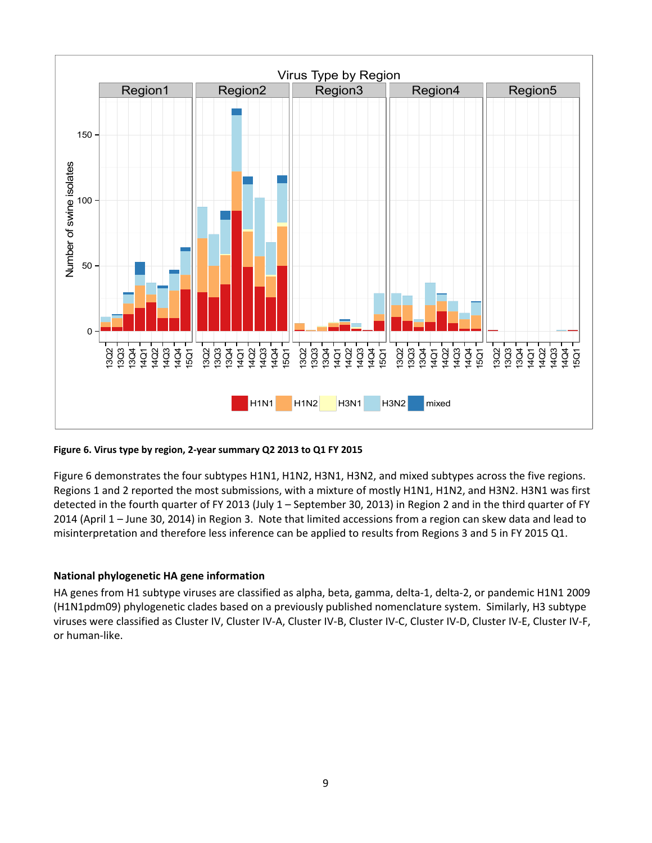

#### **Figure 6. Virus type by region, 2‐year summary Q2 2013 to Q1 FY 2015**

Figure 6 demonstrates the four subtypes H1N1, H1N2, H3N1, H3N2, and mixed subtypes across the five regions. Regions 1 and 2 reported the most submissions, with a mixture of mostly H1N1, H1N2, and H3N2. H3N1 was first detected in the fourth quarter of FY 2013 (July 1 – September 30, 2013) in Region 2 and in the third quarter of FY 2014 (April 1 – June 30, 2014) in Region 3. Note that limited accessions from a region can skew data and lead to misinterpretation and therefore less inference can be applied to results from Regions 3 and 5 in FY 2015 Q1.

#### **National phylogenetic HA gene information**

HA genes from H1 subtype viruses are classified as alpha, beta, gamma, delta‐1, delta‐2, or pandemic H1N1 2009 (H1N1pdm09) phylogenetic clades based on a previously published nomenclature system. Similarly, H3 subtype viruses were classified as Cluster IV, Cluster IV‐A, Cluster IV‐B, Cluster IV‐C, Cluster IV‐D, Cluster IV‐E, Cluster IV‐F, or human‐like.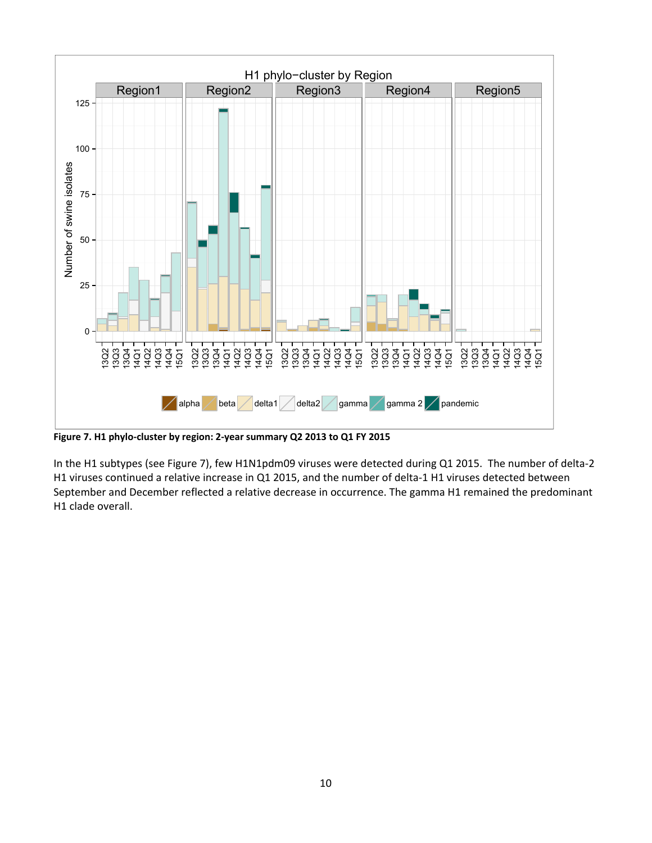

**Figure 7. H1 phylo‐cluster by region: 2‐year summary Q2 2013 to Q1 FY 2015**

In the H1 subtypes (see Figure 7), few H1N1pdm09 viruses were detected during Q1 2015. The number of delta‐2 H1 viruses continued a relative increase in Q1 2015, and the number of delta-1 H1 viruses detected between September and December reflected a relative decrease in occurrence. The gamma H1 remained the predominant H1 clade overall.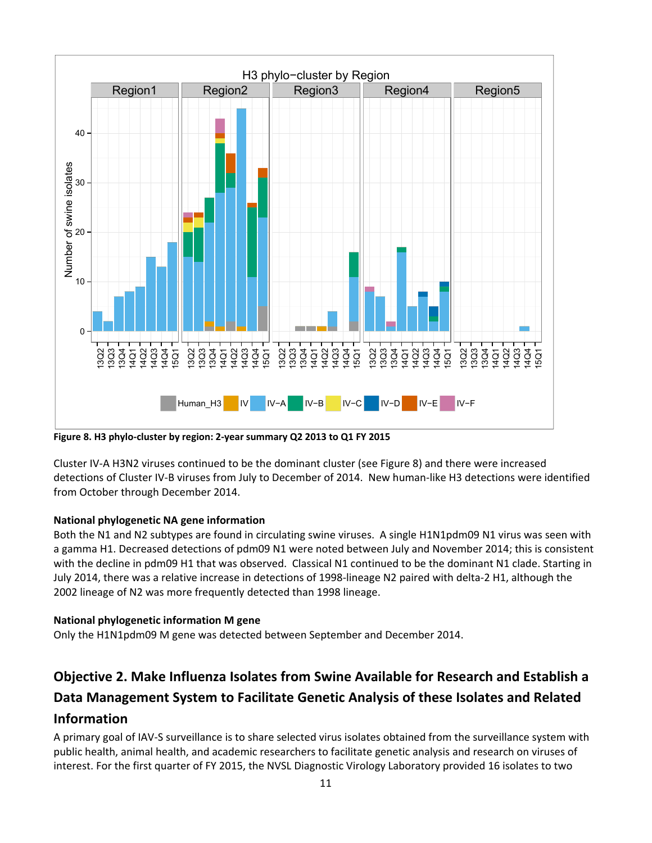

**Figure 8. H3 phylo‐cluster by region: 2‐year summary Q2 2013 to Q1 FY 2015**

Cluster IV‐A H3N2 viruses continued to be the dominant cluster (see Figure 8) and there were increased detections of Cluster IV‐B viruses from July to December of 2014. New human‐like H3 detections were identified from October through December 2014.

### **National phylogenetic NA gene information**

Both the N1 and N2 subtypes are found in circulating swine viruses. A single H1N1pdm09 N1 virus was seen with a gamma H1. Decreased detections of pdm09 N1 were noted between July and November 2014; this is consistent with the decline in pdm09 H1 that was observed. Classical N1 continued to be the dominant N1 clade. Starting in July 2014, there was a relative increase in detections of 1998‐lineage N2 paired with delta‐2 H1, although the 2002 lineage of N2 was more frequently detected than 1998 lineage.

### **National phylogenetic information M gene**

Only the H1N1pdm09 M gene was detected between September and December 2014.

# **Objective 2. Make Influenza Isolates from Swine Available for Research and Establish a Data Management System to Facilitate Genetic Analysis of these Isolates and Related Information**

A primary goal of IAV‐S surveillance is to share selected virus isolates obtained from the surveillance system with public health, animal health, and academic researchers to facilitate genetic analysis and research on viruses of interest. For the first quarter of FY 2015, the NVSL Diagnostic Virology Laboratory provided 16 isolates to two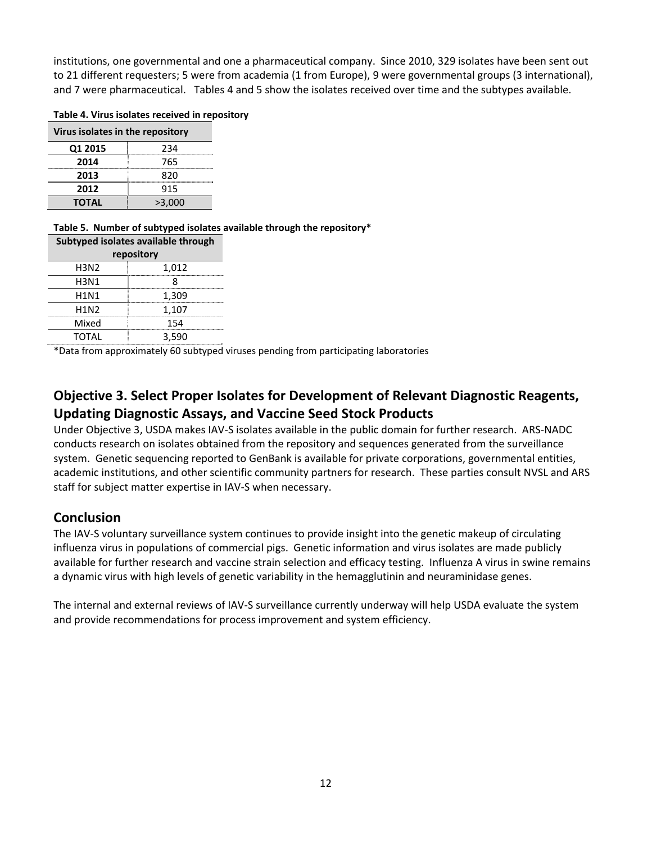institutions, one governmental and one a pharmaceutical company. Since 2010, 329 isolates have been sent out to 21 different requesters; 5 were from academia (1 from Europe), 9 were governmental groups (3 international), and 7 were pharmaceutical. Tables 4 and 5 show the isolates received over time and the subtypes available.

#### Table 4. Virus isolates received in repository

| Virus isolates in the repository |        |  |  |
|----------------------------------|--------|--|--|
| Q1 2015                          | 234    |  |  |
| 2014                             | 765    |  |  |
| 2013                             | 820    |  |  |
| 2012                             | 915    |  |  |
| <b>TOTAL</b>                     | >3.000 |  |  |
|                                  |        |  |  |

**Table 5. Number of subtyped isolates available through the repository\***

| Subtyped isolates available through |       |  |  |  |
|-------------------------------------|-------|--|--|--|
| repository                          |       |  |  |  |
| H3N2                                | 1,012 |  |  |  |
| H3N1                                |       |  |  |  |
| H1N1                                | 1,309 |  |  |  |
| H1N2                                | 1,107 |  |  |  |
| Mixed                               | 154   |  |  |  |
| TOTAL                               | 3.590 |  |  |  |
|                                     |       |  |  |  |

\*Data from approximately 60 subtyped viruses pending from participating laboratories

# **Objective 3. Select Proper Isolates for Development of Relevant Diagnostic Reagents, Updating Diagnostic Assays, and Vaccine Seed Stock Products**

Under Objective 3, USDA makes IAV‐S isolates available in the public domain for further research. ARS‐NADC conducts research on isolates obtained from the repository and sequences generated from the surveillance system. Genetic sequencing reported to GenBank is available for private corporations, governmental entities, academic institutions, and other scientific community partners for research. These parties consult NVSL and ARS staff for subject matter expertise in IAV‐S when necessary.

### **Conclusion**

The IAV‐S voluntary surveillance system continues to provide insight into the genetic makeup of circulating influenza virus in populations of commercial pigs. Genetic information and virus isolates are made publicly available for further research and vaccine strain selection and efficacy testing. Influenza A virus in swine remains a dynamic virus with high levels of genetic variability in the hemagglutinin and neuraminidase genes.

The internal and external reviews of IAV‐S surveillance currently underway will help USDA evaluate the system and provide recommendations for process improvement and system efficiency.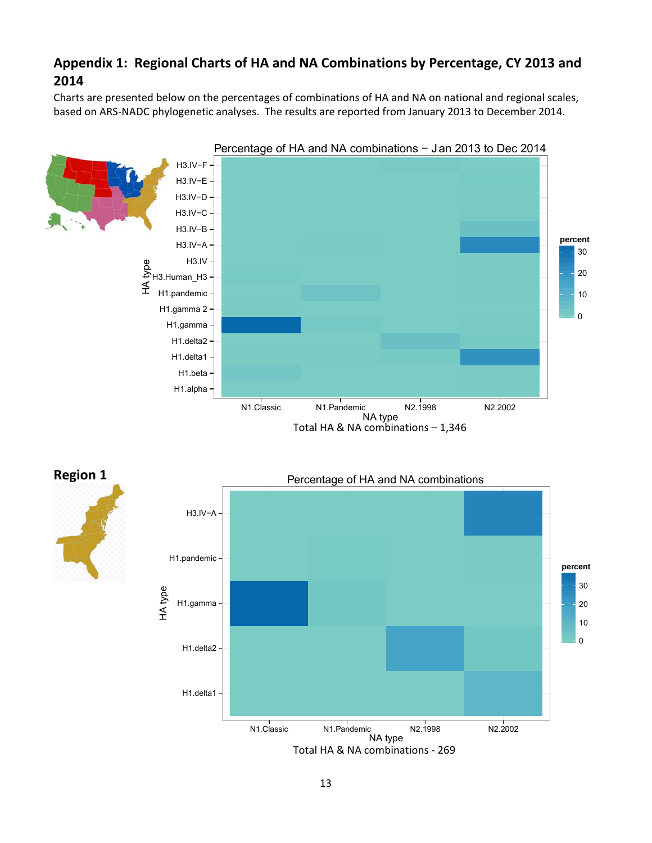# **Appendix 1: Regional Charts of HA and NA Combinations by Percentage, CY 2013 and 2014**

Charts are presented below on the percentages of combinations of HA and NA on national and regional scales, based on ARS‐NADC phylogenetic analyses. The results are reported from January 2013 to December 2014.



**Region 1**

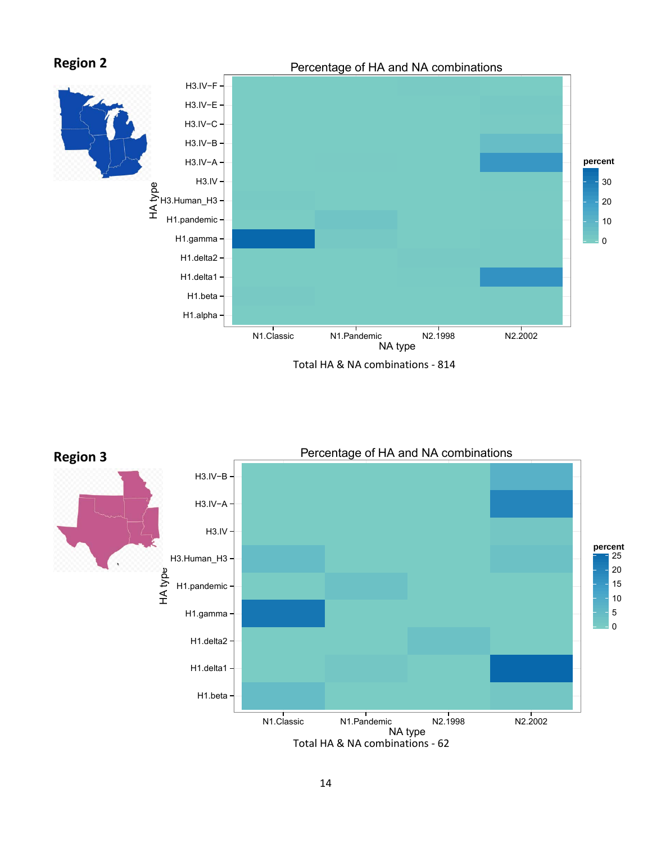